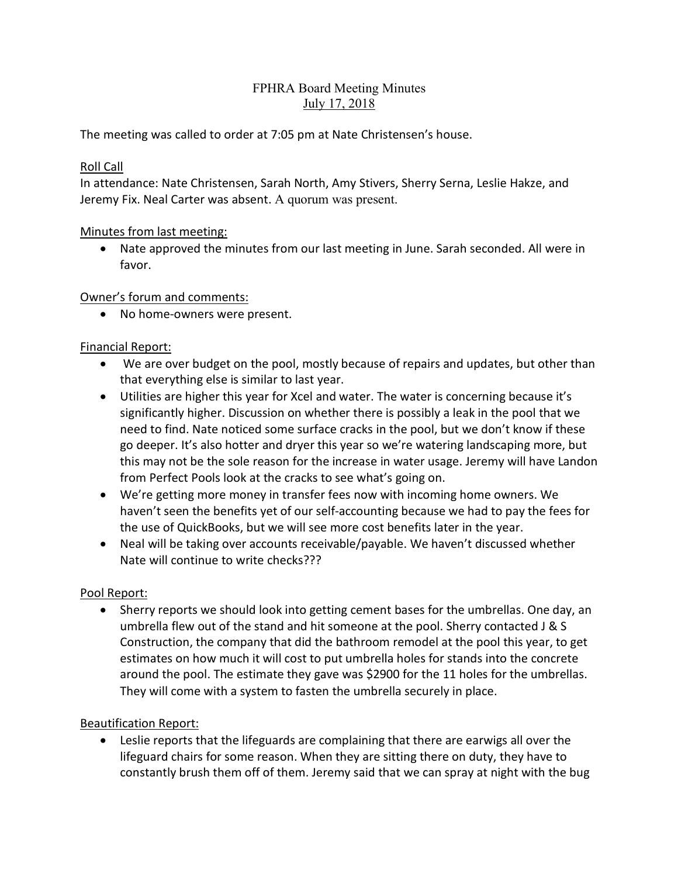## FPHRA Board Meeting Minutes July 17, 2018

The meeting was called to order at 7:05 pm at Nate Christensen's house.

### Roll Call

In attendance: Nate Christensen, Sarah North, Amy Stivers, Sherry Serna, Leslie Hakze, and Jeremy Fix. Neal Carter was absent. A quorum was present.

## Minutes from last meeting:

• Nate approved the minutes from our last meeting in June. Sarah seconded. All were in favor.

## Owner's forum and comments:

• No home-owners were present.

# Financial Report:

- We are over budget on the pool, mostly because of repairs and updates, but other than that everything else is similar to last year.
- Utilities are higher this year for Xcel and water. The water is concerning because it's significantly higher. Discussion on whether there is possibly a leak in the pool that we need to find. Nate noticed some surface cracks in the pool, but we don't know if these go deeper. It's also hotter and dryer this year so we're watering landscaping more, but this may not be the sole reason for the increase in water usage. Jeremy will have Landon from Perfect Pools look at the cracks to see what's going on.
- We're getting more money in transfer fees now with incoming home owners. We haven't seen the benefits yet of our self-accounting because we had to pay the fees for the use of QuickBooks, but we will see more cost benefits later in the year.
- Neal will be taking over accounts receivable/payable. We haven't discussed whether Nate will continue to write checks???

# Pool Report:

• Sherry reports we should look into getting cement bases for the umbrellas. One day, an umbrella flew out of the stand and hit someone at the pool. Sherry contacted J & S Construction, the company that did the bathroom remodel at the pool this year, to get estimates on how much it will cost to put umbrella holes for stands into the concrete around the pool. The estimate they gave was \$2900 for the 11 holes for the umbrellas. They will come with a system to fasten the umbrella securely in place.

# Beautification Report:

• Leslie reports that the lifeguards are complaining that there are earwigs all over the lifeguard chairs for some reason. When they are sitting there on duty, they have to constantly brush them off of them. Jeremy said that we can spray at night with the bug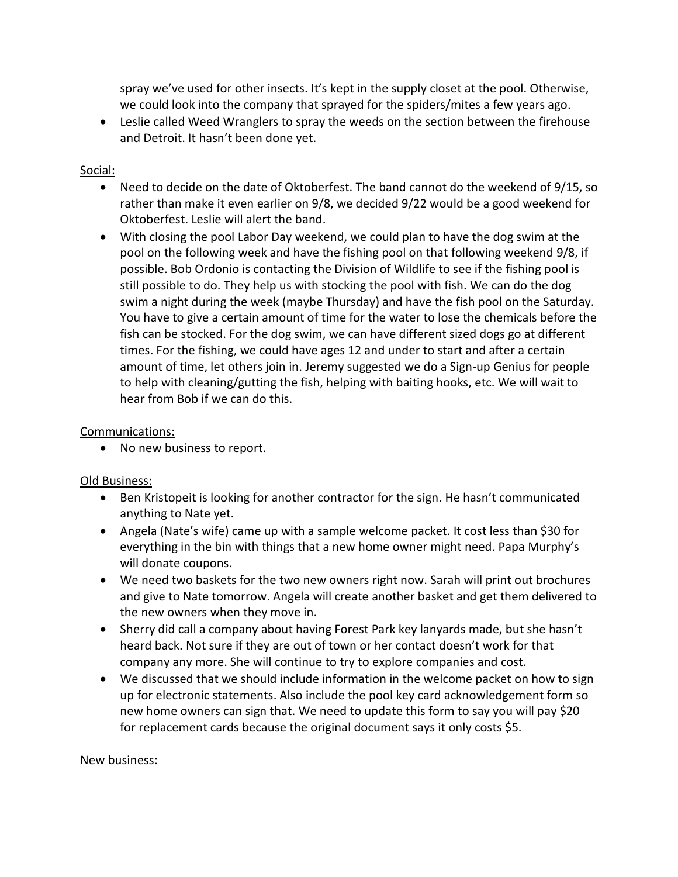spray we've used for other insects. It's kept in the supply closet at the pool. Otherwise, we could look into the company that sprayed for the spiders/mites a few years ago.

• Leslie called Weed Wranglers to spray the weeds on the section between the firehouse and Detroit. It hasn't been done yet.

## Social:

- Need to decide on the date of Oktoberfest. The band cannot do the weekend of 9/15, so rather than make it even earlier on 9/8, we decided 9/22 would be a good weekend for Oktoberfest. Leslie will alert the band.
- With closing the pool Labor Day weekend, we could plan to have the dog swim at the pool on the following week and have the fishing pool on that following weekend 9/8, if possible. Bob Ordonio is contacting the Division of Wildlife to see if the fishing pool is still possible to do. They help us with stocking the pool with fish. We can do the dog swim a night during the week (maybe Thursday) and have the fish pool on the Saturday. You have to give a certain amount of time for the water to lose the chemicals before the fish can be stocked. For the dog swim, we can have different sized dogs go at different times. For the fishing, we could have ages 12 and under to start and after a certain amount of time, let others join in. Jeremy suggested we do a Sign-up Genius for people to help with cleaning/gutting the fish, helping with baiting hooks, etc. We will wait to hear from Bob if we can do this.

### Communications:

• No new business to report.

#### Old Business:

- Ben Kristopeit is looking for another contractor for the sign. He hasn't communicated anything to Nate yet.
- Angela (Nate's wife) came up with a sample welcome packet. It cost less than \$30 for everything in the bin with things that a new home owner might need. Papa Murphy's will donate coupons.
- We need two baskets for the two new owners right now. Sarah will print out brochures and give to Nate tomorrow. Angela will create another basket and get them delivered to the new owners when they move in.
- Sherry did call a company about having Forest Park key lanyards made, but she hasn't heard back. Not sure if they are out of town or her contact doesn't work for that company any more. She will continue to try to explore companies and cost.
- We discussed that we should include information in the welcome packet on how to sign up for electronic statements. Also include the pool key card acknowledgement form so new home owners can sign that. We need to update this form to say you will pay \$20 for replacement cards because the original document says it only costs \$5.

#### New business: